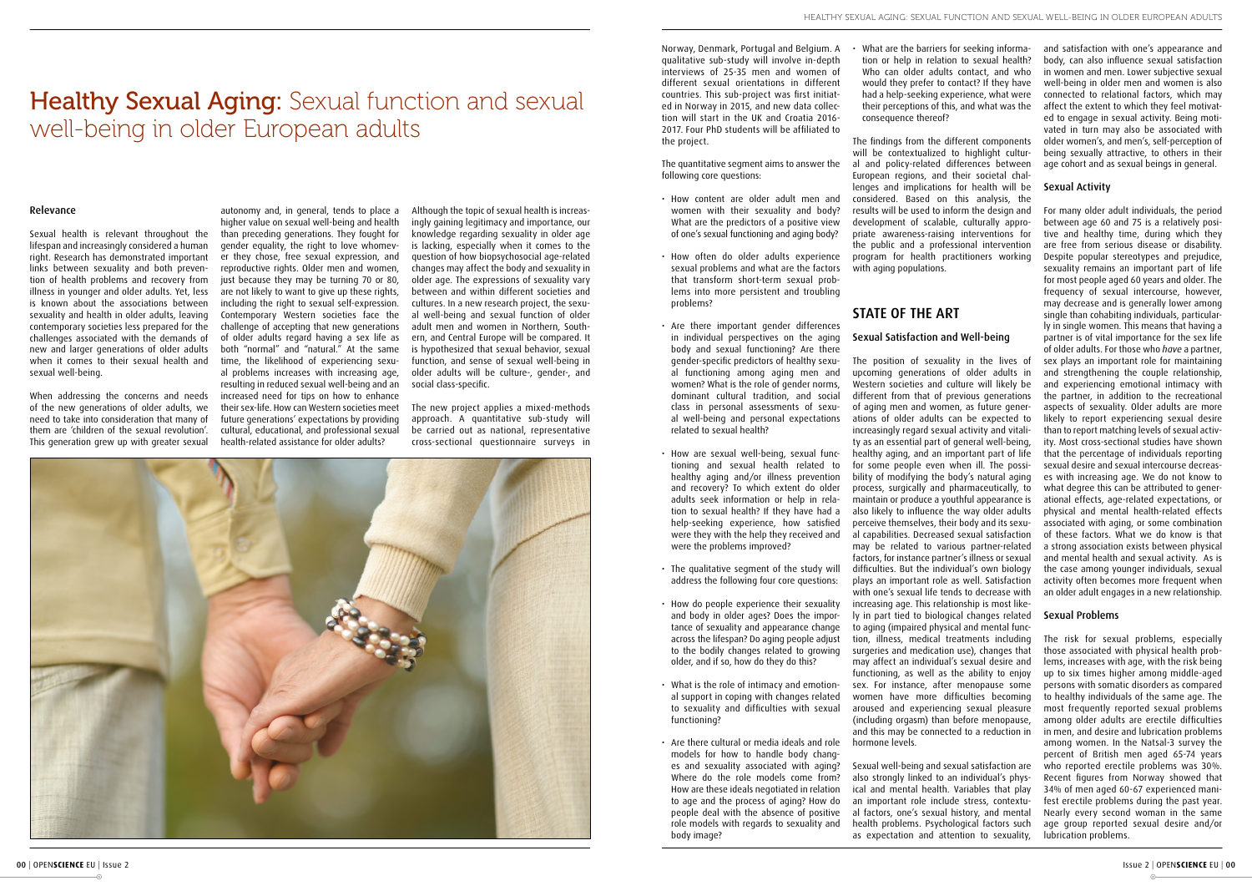# Healthy Sexual Aging: Sexual function and sexual well-being in older European adults

#### Relevance

Sexual health is relevant throughout the lifespan and increasingly considered a human right. Research has demonstrated important links between sexuality and both prevention of health problems and recovery from illness in younger and older adults. Yet, less is known about the associations between sexuality and health in older adults, leaving contemporary societies less prepared for the challenges associated with the demands of new and larger generations of older adults when it comes to their sexual health and sexual well-being.

When addressing the concerns and needs of the new generations of older adults, we need to take into consideration that many of them are 'children of the sexual revolution'. This generation grew up with greater sexual

autonomy and, in general, tends to place a higher value on sexual well-being and health than preceding generations. They fought for gender equality, the right to love whomever they chose, free sexual expression, and reproductive rights. Older men and women, just because they may be turning 70 or 80, are not likely to want to give up these rights, including the right to sexual self-expression. Contemporary Western societies face the challenge of accepting that new generations of older adults regard having a sex life as both "normal" and "natural." At the same time, the likelihood of experiencing sexual problems increases with increasing age, resulting in reduced sexual well-being and an increased need for tips on how to enhance their sex-life. How can Western societies meet future generations' expectations by providing cultural, educational, and professional sexual health-related assistance for older adults?

Although the topic of sexual health is increasingly gaining legitimacy and importance, our knowledge regarding sexuality in older age is lacking, especially when it comes to the question of how biopsychosocial age-related changes may affect the body and sexuality in older age. The expressions of sexuality vary between and within different societies and cultures. In a new research project, the sexual well-being and sexual function of older adult men and women in Northern, Southern, and Central Europe will be compared. It is hypothesized that sexual behavior, sexual function, and sense of sexual well-being in older adults will be culture-, gender-, and social class-specific.

The new project applies a mixed-methods approach. A quantitative sub-study will be carried out as national, representative cross-sectional questionnaire surveys in



Norway, Denmark, Portugal and Belgium. A qualitative sub-study will involve in-depth interviews of 25-35 men and women of different sexual orientations in different countries. This sub-project was first initiated in Norway in 2015, and new data collection will start in the UK and Croatia 2016- 2017. Four PhD students will be affiliated to the project.

The quantitative segment aims to answer the following core questions:

- How content are older adult men and women with their sexuality and body? What are the predictors of a positive view of one's sexual functioning and aging body?
- How often do older adults experience sexual problems and what are the factors that transform short-term sexual problems into more persistent and troubling problems?
- Are there important gender differences in individual perspectives on the aging body and sexual functioning? Are there gender-specific predictors of healthy sexual functioning among aging men and women? What is the role of gender norms, dominant cultural tradition, and social class in personal assessments of sexual well-being and personal expectations related to sexual health?
- How are sexual well-being, sexual functioning and sexual health related to healthy aging and/or illness prevention and recovery? To which extent do older adults seek information or help in relation to sexual health? If they have had a help-seeking experience, how satisfied were they with the help they received and were the problems improved?
- The qualitative segment of the study will address the following four core questions:
- How do people experience their sexuality and body in older ages? Does the importance of sexuality and appearance change across the lifespan? Do aging people adjust to the bodily changes related to growing older, and if so, how do they do this?
- What is the role of intimacy and emotional support in coping with changes related to sexuality and difficulties with sexual functioning?
- Are there cultural or media ideals and role models for how to handle body changes and sexuality associated with aging? Where do the role models come from? How are these ideals negotiated in relation to age and the process of aging? How do people deal with the absence of positive role models with regards to sexuality and body image?

• What are the barriers for seeking information or help in relation to sexual health? Who can older adults contact, and who would they prefer to contact? If they have had a help-seeking experience, what were their perceptions of this, and what was the consequence thereof?

The findings from the different components will be contextualized to highlight cultural and policy-related differences between European regions, and their societal challenges and implications for health will be considered. Based on this analysis, the results will be used to inform the design and development of scalable, culturally appropriate awareness-raising interventions for the public and a professional intervention program for health practitioners working with aging populations.

# STATE OF THE ART

# Sexual Satisfaction and Well-being

The position of sexuality in the lives of upcoming generations of older adults in Western societies and culture will likely be different from that of previous generations of aging men and women, as future generations of older adults can be expected to increasingly regard sexual activity and vitality as an essential part of general well-being, healthy aging, and an important part of life for some people even when ill. The possibility of modifying the body's natural aging process, surgically and pharmaceutically, to maintain or produce a youthful appearance is also likely to influence the way older adults perceive themselves, their body and its sexual capabilities. Decreased sexual satisfaction may be related to various partner-related factors, for instance partner's illness or sexual difficulties. But the individual's own biology plays an important role as well. Satisfaction with one's sexual life tends to decrease with increasing age. This relationship is most likely in part tied to biological changes related to aging (impaired physical and mental function, illness, medical treatments including surgeries and medication use), changes that may affect an individual's sexual desire and functioning, as well as the ability to enjoy sex. For instance, after menopause some women have more difficulties becoming aroused and experiencing sexual pleasure (including orgasm) than before menopause, and this may be connected to a reduction in hormone levels.

Sexual well-being and sexual satisfaction are also strongly linked to an individual's physical and mental health. Variables that play an important role include stress, contextual factors, one's sexual history, and mental health problems. Psychological factors such as expectation and attention to sexuality,

and satisfaction with one's appearance and body, can also influence sexual satisfaction in women and men. Lower subjective sexual well-being in older men and women is also connected to relational factors, which may affect the extent to which they feel motivated to engage in sexual activity. Being motivated in turn may also be associated with older women's, and men's, self-perception of being sexually attractive, to others in their age cohort and as sexual beings in general.

# Sexual Activity

For many older adult individuals, the period between age 60 and 75 is a relatively positive and healthy time, during which they are free from serious disease or disability. Despite popular stereotypes and prejudice, sexuality remains an important part of life for most people aged 60 years and older. The frequency of sexual intercourse, however, may decrease and is generally lower among single than cohabiting individuals, particularly in single women. This means that having a partner is of vital importance for the sex life of older adults. For those who *have* a partner, sex plays an important role for maintaining and strengthening the couple relationship, and experiencing emotional intimacy with the partner, in addition to the recreational aspects of sexuality. Older adults are more likely to report experiencing sexual desire than to report matching levels of sexual activity. Most cross-sectional studies have shown that the percentage of individuals reporting sexual desire and sexual intercourse decreases with increasing age. We do not know to what degree this can be attributed to generational effects, age-related expectations, or physical and mental health-related effects associated with aging, or some combination of these factors. What we do know is that a strong association exists between physical and mental health and sexual activity. As is the case among younger individuals, sexual activity often becomes more frequent when an older adult engages in a new relationship.

# Sexual Problems

The risk for sexual problems, especially those associated with physical health problems, increases with age, with the risk being up to six times higher among middle-aged persons with somatic disorders as compared to healthy individuals of the same age. The most frequently reported sexual problems among older adults are erectile difficulties in men, and desire and lubrication problems among women. In the Natsal-3 survey the percent of British men aged 65-74 years who reported erectile problems was 30%. Recent figures from Norway showed that 34% of men aged 60-67 experienced manifest erectile problems during the past year. Nearly every second woman in the same age group reported sexual desire and/or lubrication problems.